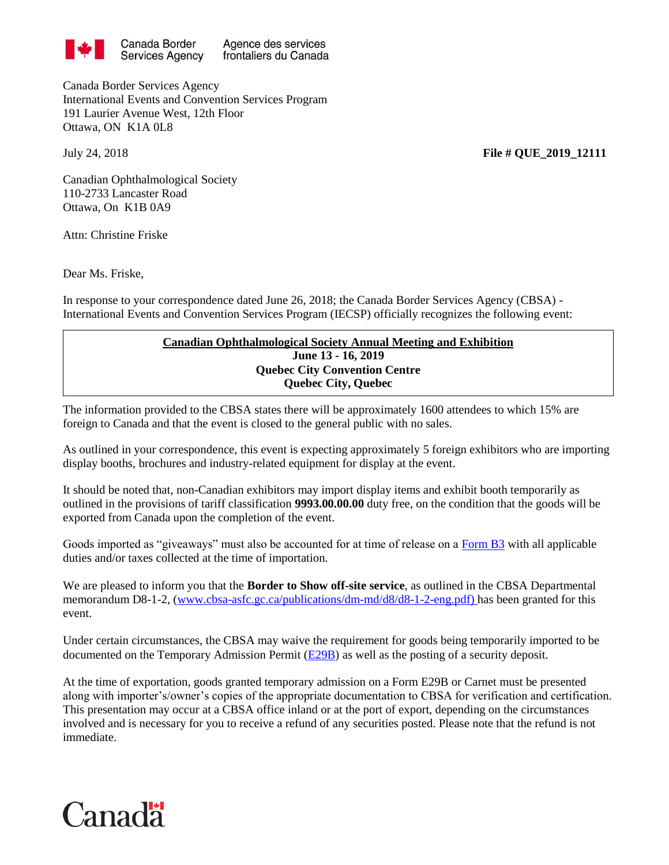

Agence des services frontaliers du Canada

Canada Border Services Agency International Events and Convention Services Program 191 Laurier Avenue West, 12th Floor Ottawa, ON K1A 0L8

July 24, 2018 **File # QUE\_2019\_12111**

Canadian Ophthalmological Society 110-2733 Lancaster Road Ottawa, On K1B 0A9

Attn: Christine Friske

Dear Ms. Friske,

In response to your correspondence dated June 26, 2018; the Canada Border Services Agency (CBSA) - International Events and Convention Services Program (IECSP) officially recognizes the following event:

## **Canadian Ophthalmological Society Annual Meeting and Exhibition June 13 - 16, 2019 Quebec City Convention Centre Quebec City, Quebec**

The information provided to the CBSA states there will be approximately 1600 attendees to which 15% are foreign to Canada and that the event is closed to the general public with no sales.

As outlined in your correspondence, this event is expecting approximately 5 foreign exhibitors who are importing display booths, brochures and industry-related equipment for display at the event.

It should be noted that, non-Canadian exhibitors may import display items and exhibit booth temporarily as outlined in the provisions of tariff classification **9993.00.00.00** duty free, on the condition that the goods will be exported from Canada upon the completion of the event.

Goods imported as "giveaways" must also be accounted for at time of release on a [Form B3](http://www.cbsa-asfc.gc.ca/publications/forms-formulaires/b3-3.pdf) with all applicable duties and/or taxes collected at the time of importation*.*

We are pleased to inform you that the **Border to Show off-site service**, as outlined in the CBSA Departmental memorandum D8-1-2, [\(www.cbsa-asfc.gc.ca/publications/dm-md/d8/d8-1-2-eng.pdf\)](http://www.cbsa-asfc.gc.ca/publications/dm-md/d8/d8-1-2-eng.pdf) has been granted for this event.

Under certain circumstances, the CBSA may waive the requirement for goods being temporarily imported to be documented on the Temporary Admission Permit [\(E29B\)](http://www.cbsa-asfc.gc.ca/publications/forms-formulaires/e29b.pdf) as well as the posting of a security deposit.

At the time of exportation, goods granted temporary admission on a Form E29B or Carnet must be presented along with importer's/owner's copies of the appropriate documentation to CBSA for verification and certification. This presentation may occur at a CBSA office inland or at the port of export, depending on the circumstances involved and is necessary for you to receive a refund of any securities posted. Please note that the refund is not immediate.